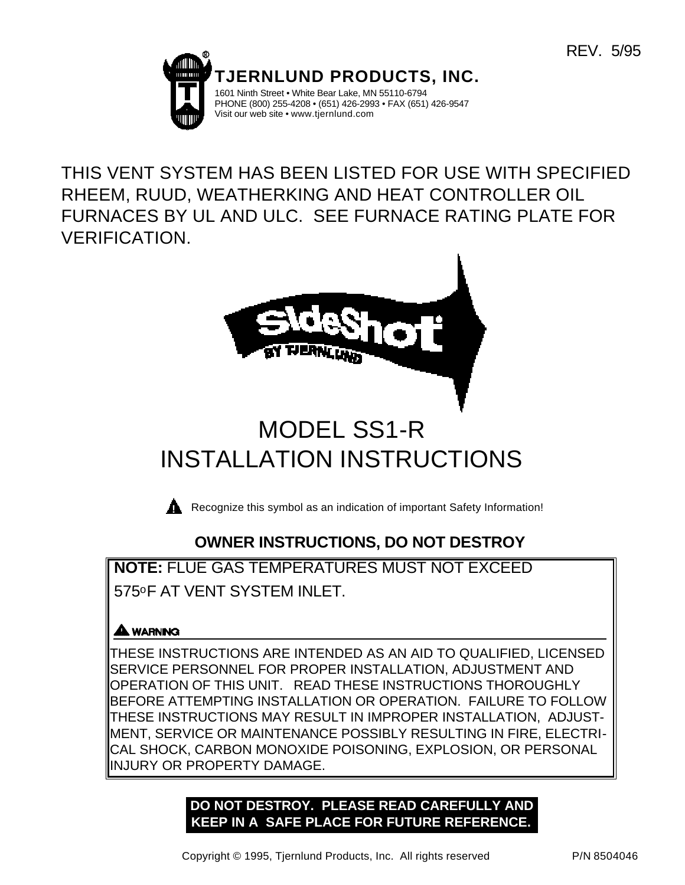

THIS VENT SYSTEM HAS BEEN LISTED FOR USE WITH SPECIFIED RHEEM, RUUD, WEATHERKING AND HEAT CONTROLLER OIL FURNACES BY UL AND ULC. SEE FURNACE RATING PLATE FOR VERIFICATION.



# INSTALLATION INSTRUCTIONS

**Recognize this symbol as an indication of important Safety Information!** 

# **OWNER INSTRUCTIONS, DO NOT DESTROY**

**NOTE:** FLUE GAS TEMPERATURES MUST NOT EXCEED 575oF AT VENT SYSTEM INLET.

## **AA** WARNING

THESE INSTRUCTIONS ARE INTENDED AS AN AID TO QUALIFIED, LICENSED SERVICE PERSONNEL FOR PROPER INSTALLATION, ADJUSTMENT AND OPERATION OF THIS UNIT. READ THESE INSTRUCTIONS THOROUGHLY BEFORE ATTEMPTING INSTALLATION OR OPERATION. FAILURE TO FOLLOW THESE INSTRUCTIONS MAY RESULT IN IMPROPER INSTALLATION, ADJUST-MENT, SERVICE OR MAINTENANCE POSSIBLY RESULTING IN FIRE, ELECTRI-CAL SHOCK, CARBON MONOXIDE POISONING, EXPLOSION, OR PERSONAL INJURY OR PROPERTY DAMAGE.

> **DO NOT DESTROY. PLEASE READ CAREFULLY AND KEEP IN A SAFE PLACE FOR FUTURE REFERENCE.**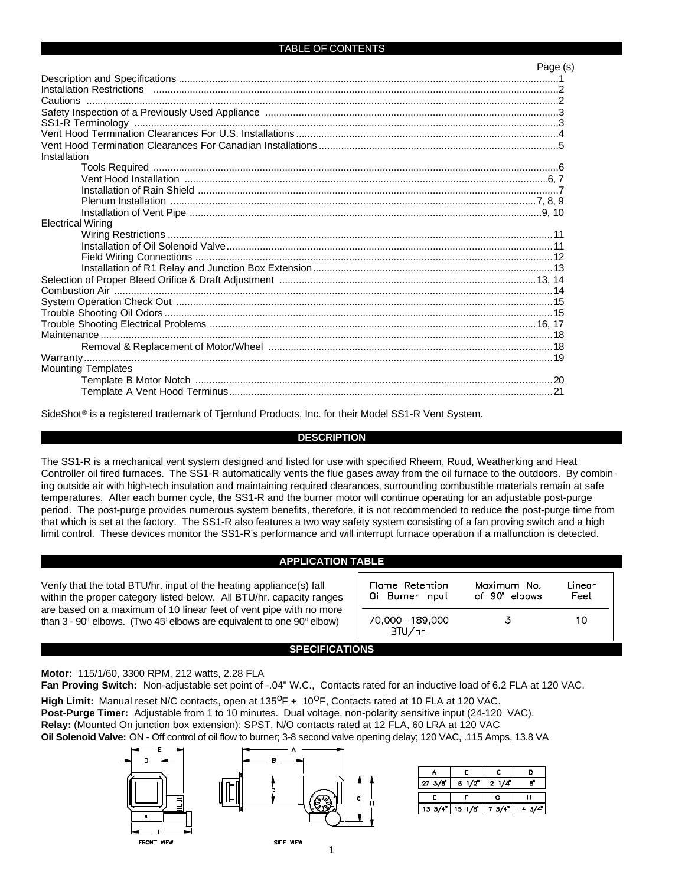#### TABLE OF CONTENTS

|                           | Page (s) |
|---------------------------|----------|
|                           |          |
|                           |          |
|                           |          |
|                           |          |
|                           |          |
|                           |          |
|                           |          |
| Installation              |          |
|                           |          |
|                           |          |
|                           |          |
|                           |          |
|                           |          |
| <b>Electrical Wiring</b>  |          |
|                           |          |
|                           |          |
|                           |          |
|                           |          |
|                           |          |
|                           |          |
|                           |          |
|                           |          |
|                           |          |
|                           |          |
|                           |          |
|                           |          |
| <b>Mounting Templates</b> |          |
|                           |          |
|                           |          |
|                           |          |

SideShot<sup>®</sup> is a registered trademark of Tjernlund Products, Inc. for their Model SS1-R Vent System.

#### **DESCRIPTION**

The SS1-R is a mechanical vent system designed and listed for use with specified Rheem, Ruud, Weatherking and Heat Controller oil fired furnaces. The SS1-R automatically vents the flue gases away from the oil furnace to the outdoors. By combining outside air with high-tech insulation and maintaining required clearances, surrounding combustible materials remain at safe temperatures. After each burner cycle, the SS1-R and the burner motor will continue operating for an adjustable post-purge period. The post-purge provides numerous system benefits, therefore, it is not recommended to reduce the post-purge time from that which is set at the factory. The SS1-R also features a two way safety system consisting of a fan proving switch and a high limit control. These devices monitor the SS1-R's performance and will interrupt furnace operation if a malfunction is detected.

#### **APPLICATION TABLE**

| Verify that the total BTU/hr. input of the heating appliance(s) fall<br>within the proper category listed below. All BTU/hr. capacity ranges              | Flame Retention<br>Oil Burner Input | Maximum No.<br>of 90° elbows | Linear<br>Feet |  |
|-----------------------------------------------------------------------------------------------------------------------------------------------------------|-------------------------------------|------------------------------|----------------|--|
| are based on a maximum of 10 linear feet of vent pipe with no more<br>than $3 - 90^\circ$ elbows. (Two 45° elbows are equivalent to one $90^\circ$ elbow) | 70.000 - 189.000<br>BTU/hr.         |                              | 10.            |  |
| <b>SPECIFICATIONS</b>                                                                                                                                     |                                     |                              |                |  |

**Motor:** 115/1/60, 3300 RPM, 212 watts, 2.28 FLA

**Fan Proving Switch:** Non-adjustable set point of -.04" W.C., Contacts rated for an inductive load of 6.2 FLA at 120 VAC.

High Limit: Manual reset N/C contacts, open at 135<sup>0</sup>F  $\pm$  10<sup>0</sup>F, Contacts rated at 10 FLA at 120 VAC. **Post-Purge Timer:** Adjustable from 1 to 10 minutes. Dual voltage, non-polarity sensitive input (24-120 VAC). **Relay:** (Mounted On junction box extension): SPST, N/O contacts rated at 12 FLA, 60 LRA at 120 VAC **Oil Solenoid Valve:** ON - Off control of oil flow to burner; 3-8 second valve opening delay; 120 VAC, .115 Amps, 13.8 VA



| 27 3/8 | $16 \frac{1}{2}$ | $12 \frac{1}{4}$ |  |
|--------|------------------|------------------|--|
|        |                  |                  |  |
| 13.3/4 | 15/18            | 3/4              |  |

1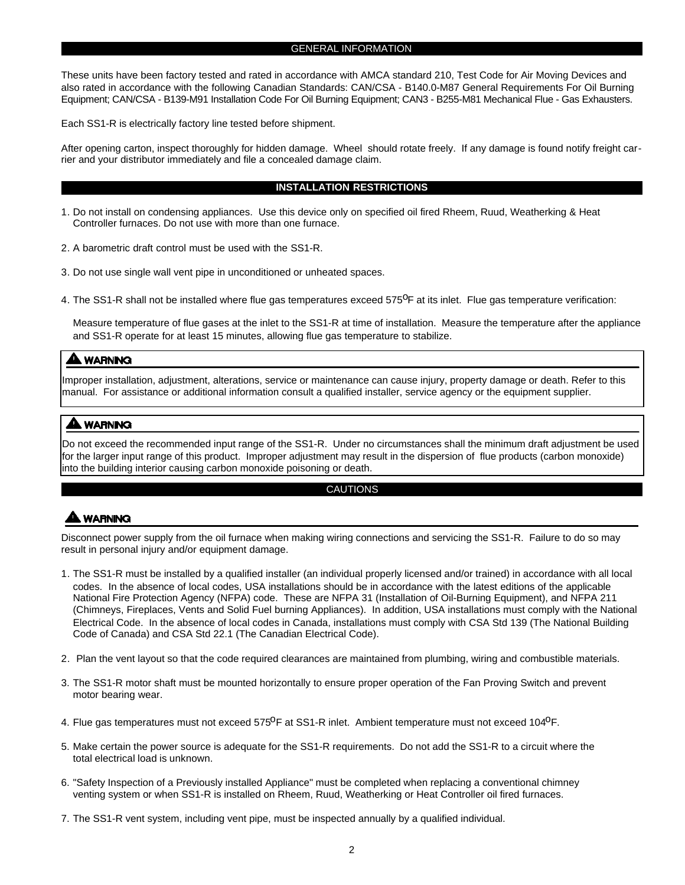#### GENERAL INFORMATION

These units have been factory tested and rated in accordance with AMCA standard 210, Test Code for Air Moving Devices and also rated in accordance with the following Canadian Standards: CAN/CSA - B140.0-M87 General Requirements For Oil Burning Equipment; CAN/CSA - B139-M91 Installation Code For Oil Burning Equipment; CAN3 - B255-M81 Mechanical Flue - Gas Exhausters.

Each SS1-R is electrically factory line tested before shipment.

After opening carton, inspect thoroughly for hidden damage. Wheel should rotate freely. If any damage is found notify freight carrier and your distributor immediately and file a concealed damage claim.

#### **INSTALLATION RESTRICTIONS**

- 1. Do not install on condensing appliances. Use this device only on specified oil fired Rheem, Ruud, Weatherking & Heat Controller furnaces. Do not use with more than one furnace.
- 2. A barometric draft control must be used with the SS1-R.
- 3. Do not use single wall vent pipe in unconditioned or unheated spaces.
- 4. The SS1-R shall not be installed where flue gas temperatures exceed 575<sup>o</sup>F at its inlet. Flue gas temperature verification:

Measure temperature of flue gases at the inlet to the SS1-R at time of installation. Measure the temperature after the appliance and SS1-R operate for at least 15 minutes, allowing flue gas temperature to stabilize.

#### **A WARNING**

Improper installation, adjustment, alterations, service or maintenance can cause injury, property damage or death. Refer to this manual. For assistance or additional information consult a qualified installer, service agency or the equipment supplier.

#### **A WARNING**

Do not exceed the recommended input range of the SS1-R. Under no circumstances shall the minimum draft adjustment be used for the larger input range of this product. Improper adjustment may result in the dispersion of flue products (carbon monoxide) into the building interior causing carbon monoxide poisoning or death.

#### CAUTIONS

#### **A WARNING**

Disconnect power supply from the oil furnace when making wiring connections and servicing the SS1-R. Failure to do so may result in personal injury and/or equipment damage.

- 1. The SS1-R must be installed by a qualified installer (an individual properly licensed and/or trained) in accordance with all local codes. In the absence of local codes, USA installations should be in accordance with the latest editions of the applicable National Fire Protection Agency (NFPA) code. These are NFPA 31 (Installation of Oil-Burning Equipment), and NFPA 211 (Chimneys, Fireplaces, Vents and Solid Fuel burning Appliances). In addition, USA installations must comply with the National Electrical Code. In the absence of local codes in Canada, installations must comply with CSA Std 139 (The National Building Code of Canada) and CSA Std 22.1 (The Canadian Electrical Code).
- 2. Plan the vent layout so that the code required clearances are maintained from plumbing, wiring and combustible materials.
- 3. The SS1-R motor shaft must be mounted horizontally to ensure proper operation of the Fan Proving Switch and prevent motor bearing wear.
- 4. Flue gas temperatures must not exceed 575<sup>0</sup>F at SS1-R inlet. Ambient temperature must not exceed 104<sup>0</sup>F.
- 5. Make certain the power source is adequate for the SS1-R requirements. Do not add the SS1-R to a circuit where the total electrical load is unknown.
- 6. "Safety Inspection of a Previously installed Appliance" must be completed when replacing a conventional chimney venting system or when SS1-R is installed on Rheem, Ruud, Weatherking or Heat Controller oil fired furnaces.
- 7. The SS1-R vent system, including vent pipe, must be inspected annually by a qualified individual.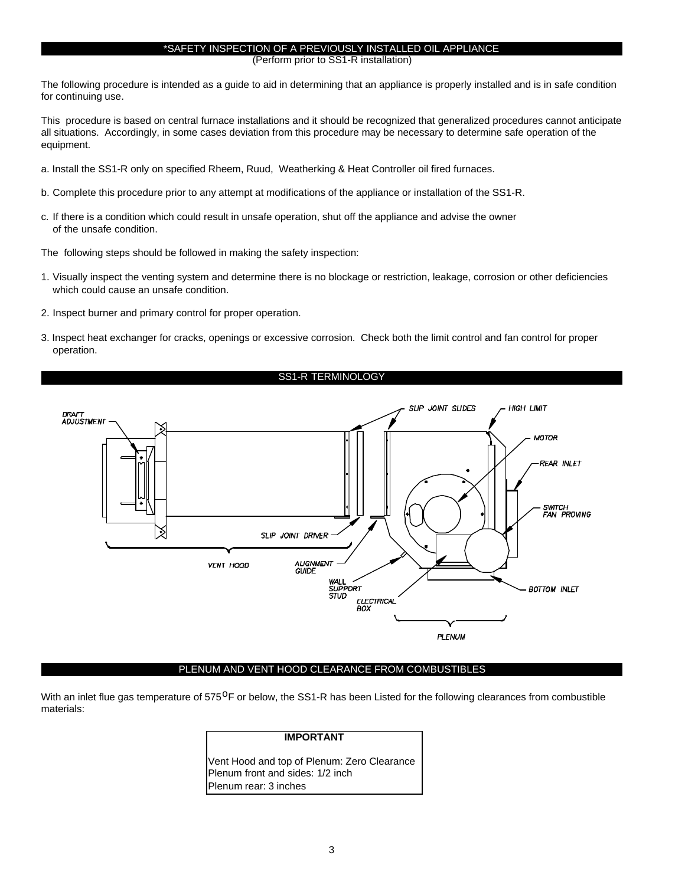#### \*SAFETY INSPECTION OF A PREVIOUSLY INSTALLED OIL APPLIANCE

(Perform prior to SS1-R installation)

The following procedure is intended as a guide to aid in determining that an appliance is properly installed and is in safe condition for continuing use.

This procedure is based on central furnace installations and it should be recognized that generalized procedures cannot anticipate all situations. Accordingly, in some cases deviation from this procedure may be necessary to determine safe operation of the equipment.

- a. Install the SS1-R only on specified Rheem, Ruud, Weatherking & Heat Controller oil fired furnaces.
- b. Complete this procedure prior to any attempt at modifications of the appliance or installation of the SS1-R.
- c. If there is a condition which could result in unsafe operation, shut off the appliance and advise the owner of the unsafe condition.

The following steps should be followed in making the safety inspection:

- 1. Visually inspect the venting system and determine there is no blockage or restriction, leakage, corrosion or other deficiencies which could cause an unsafe condition.
- 2. Inspect burner and primary control for proper operation.
- 3. Inspect heat exchanger for cracks, openings or excessive corrosion. Check both the limit control and fan control for proper operation.

#### SS1-R TERMINOLOGY



#### PLENUM AND VENT HOOD CLEARANCE FROM COMBUSTIBLES

With an inlet flue gas temperature of 575<sup>O</sup>F or below, the SS1-R has been Listed for the following clearances from combustible materials:

#### **IMPORTANT**

Vent Hood and top of Plenum: Zero Clearance Plenum front and sides: 1/2 inch Plenum rear: 3 inches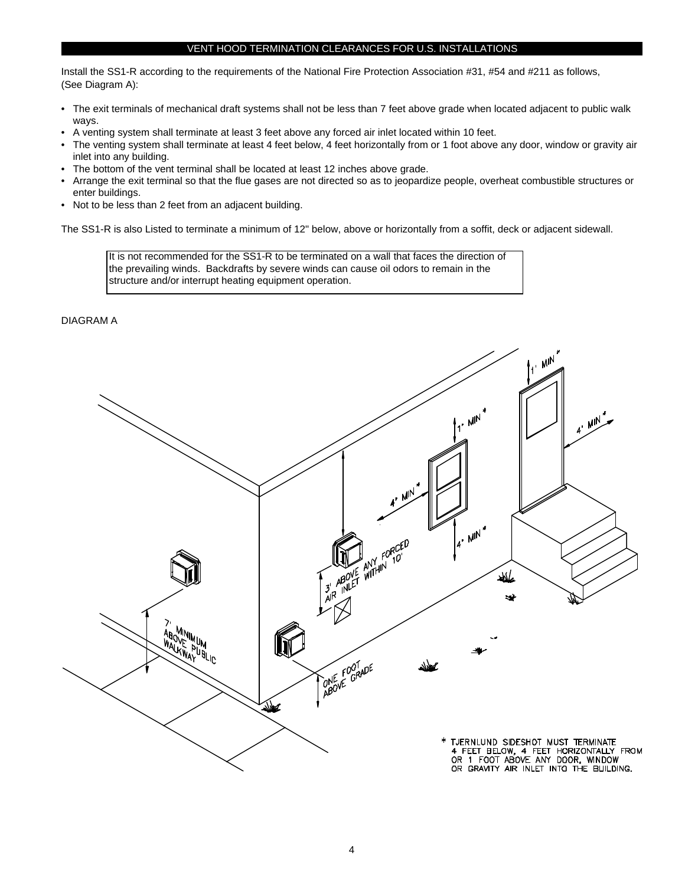#### VENT HOOD TERMINATION CLEARANCES FOR U.S. INSTALLATIONS

Install the SS1-R according to the requirements of the National Fire Protection Association #31, #54 and #211 as follows, (See Diagram A):

- The exit terminals of mechanical draft systems shall not be less than 7 feet above grade when located adjacent to public walk ways.
- A venting system shall terminate at least 3 feet above any forced air inlet located within 10 feet.
- The venting system shall terminate at least 4 feet below, 4 feet horizontally from or 1 foot above any door, window or gravity air inlet into any building.
- The bottom of the vent terminal shall be located at least 12 inches above grade.
- Arrange the exit terminal so that the flue gases are not directed so as to jeopardize people, overheat combustible structures or enter buildings.
- Not to be less than 2 feet from an adjacent building.

The SS1-R is also Listed to terminate a minimum of 12" below, above or horizontally from a soffit, deck or adjacent sidewall.

It is not recommended for the SS1-R to be terminated on a wall that faces the direction of the prevailing winds. Backdrafts by severe winds can cause oil odors to remain in the structure and/or interrupt heating equipment operation.

DIAGRAM A

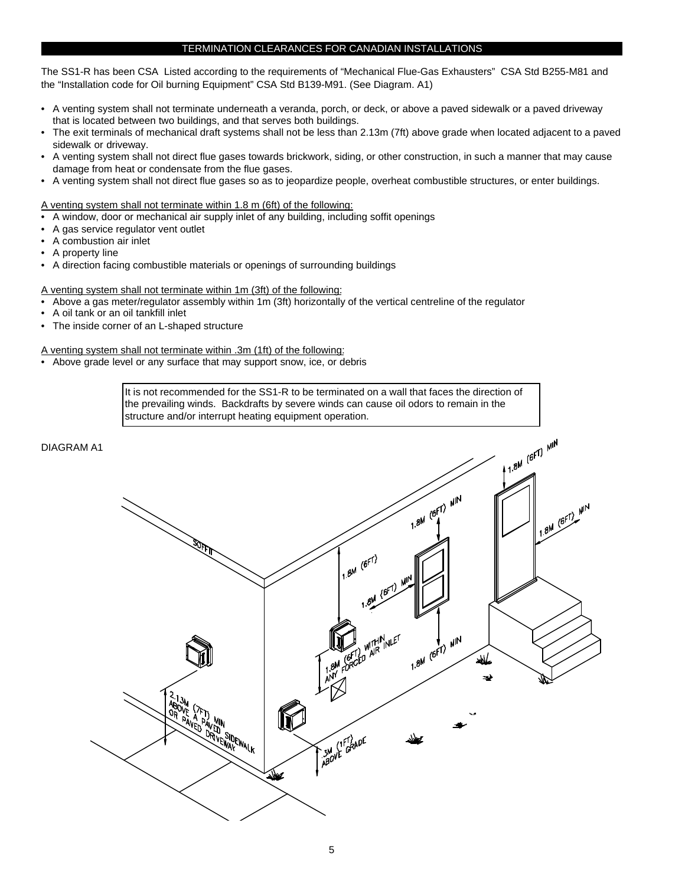#### TERMINATION CLEARANCES FOR CANADIAN INSTALLATIONS

The SS1-R has been CSA Listed according to the requirements of "Mechanical Flue-Gas Exhausters" CSA Std B255-M81 and the "Installation code for Oil burning Equipment" CSA Std B139-M91. (See Diagram. A1)

- A venting system shall not terminate underneath a veranda, porch, or deck, or above a paved sidewalk or a paved driveway that is located between two buildings, and that serves both buildings.
- The exit terminals of mechanical draft systems shall not be less than 2.13m (7ft) above grade when located adjacent to a paved sidewalk or driveway.
- A venting system shall not direct flue gases towards brickwork, siding, or other construction, in such a manner that may cause damage from heat or condensate from the flue gases.
- A venting system shall not direct flue gases so as to jeopardize people, overheat combustible structures, or enter buildings.

A venting system shall not terminate within 1.8 m (6ft) of the following:

- A window, door or mechanical air supply inlet of any building, including soffit openings
- A gas service regulator vent outlet
- A combustion air inlet
- A property line
- A direction facing combustible materials or openings of surrounding buildings

A venting system shall not terminate within 1m (3ft) of the following:

- Above a gas meter/regulator assembly within 1m (3ft) horizontally of the vertical centreline of the regulator
- A oil tank or an oil tankfill inlet
- The inside corner of an L-shaped structure

A venting system shall not terminate within .3m (1ft) of the following:

• Above grade level or any surface that may support snow, ice, or debris

It is not recommended for the SS1-R to be terminated on a wall that faces the direction of the prevailing winds. Backdrafts by severe winds can cause oil odors to remain in the structure and/or interrupt heating equipment operation.

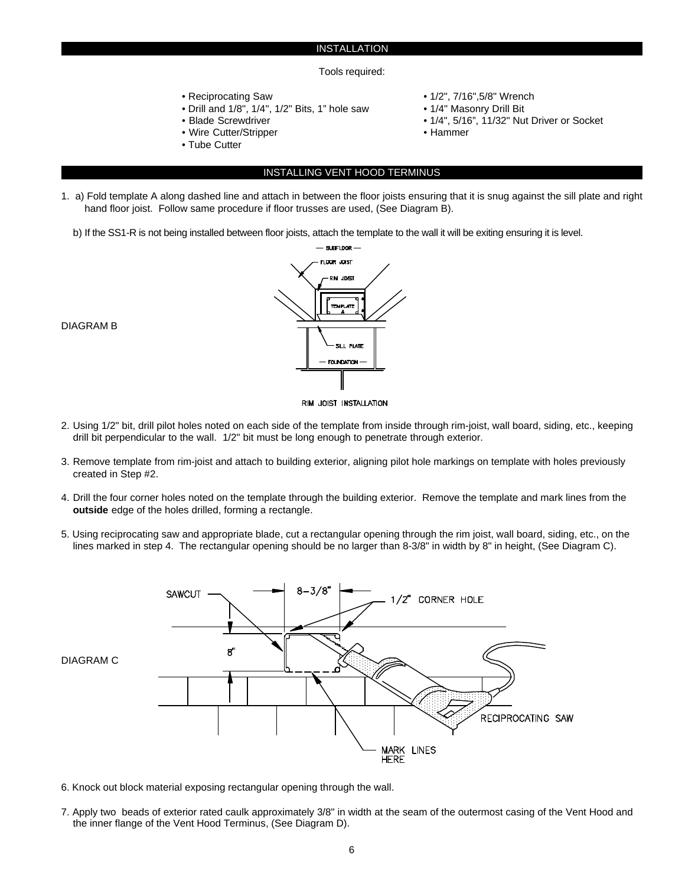#### INSTALLATION

#### Tools required:

- 
- Drill and 1/8", 1/4", 1/2" Bits, 1" hole saw 1/4" Masonry Drill Bit
- 
- Wire Cutter/Stripper **Hammer**
- Tube Cutter
- Reciprocating Saw  **1/2", 7/16",5/8"** Wrench
	-
- Blade Screwdriver 1/4", 5/16", 11/32" Nut Driver or Socket
	-
	-

#### INSTALLING VENT HOOD TERMINUS

- 1. a) Fold template A along dashed line and attach in between the floor joists ensuring that it is snug against the sill plate and right hand floor joist. Follow same procedure if floor trusses are used, (See Diagram B).
	- b) If the SS1-R is not being installed between floor joists, attach the template to the wall it will be exiting ensuring it is level.



DIAGRAM B

- RIM JOIST INSTALLATION
- 2. Using 1/2" bit, drill pilot holes noted on each side of the template from inside through rim-joist, wall board, siding, etc., keeping drill bit perpendicular to the wall. 1/2" bit must be long enough to penetrate through exterior.
- 3. Remove template from rim-joist and attach to building exterior, aligning pilot hole markings on template with holes previously created in Step #2.
- 4. Drill the four corner holes noted on the template through the building exterior. Remove the template and mark lines from the **outside** edge of the holes drilled, forming a rectangle.
- 5. Using reciprocating saw and appropriate blade, cut a rectangular opening through the rim joist, wall board, siding, etc., on the lines marked in step 4. The rectangular opening should be no larger than 8-3/8" in width by 8" in height, (See Diagram C).



- 6. Knock out block material exposing rectangular opening through the wall.
- 7. Apply two beads of exterior rated caulk approximately 3/8" in width at the seam of the outermost casing of the Vent Hood and the inner flange of the Vent Hood Terminus, (See Diagram D).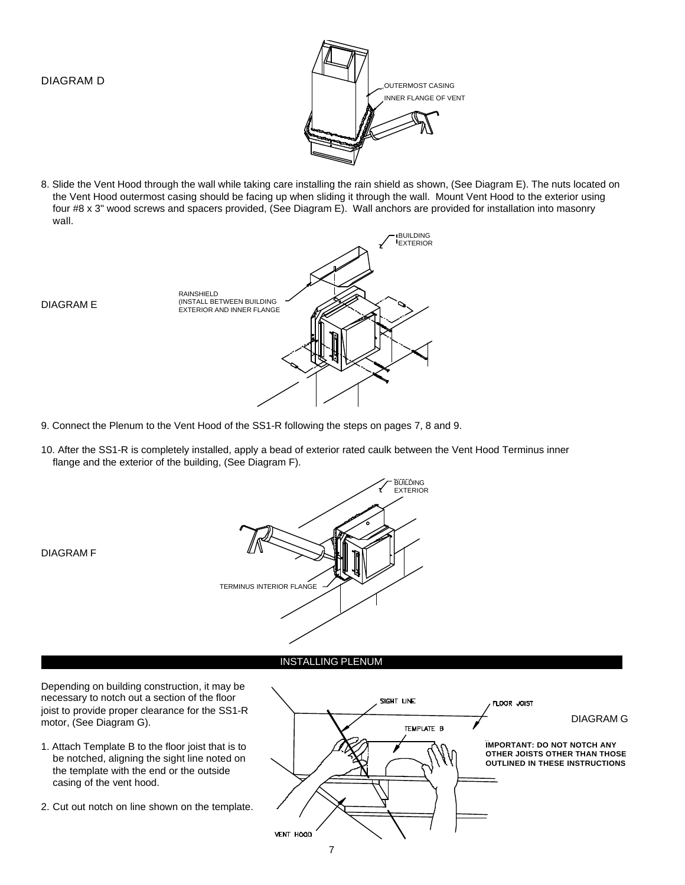DIAGRAM E



8. Slide the Vent Hood through the wall while taking care installing the rain shield as shown, (See Diagram E). The nuts located on the Vent Hood outermost casing should be facing up when sliding it through the wall. Mount Vent Hood to the exterior using four #8 x 3" wood screws and spacers provided, (See Diagram E). Wall anchors are provided for installation into masonry wall.



- 9. Connect the Plenum to the Vent Hood of the SS1-R following the steps on pages 7, 8 and 9.
- 10. After the SS1-R is completely installed, apply a bead of exterior rated caulk between the Vent Hood Terminus inner flange and the exterior of the building, (See Diagram F).



#### INSTALLING PLENUM

Depending on building construction, it may be necessary to notch out a section of the floor joist to provide proper clearance for the SS1-R motor, (See Diagram G).

- 1. Attach Template B to the floor joist that is to be notched, aligning the sight line noted on the template with the end or the outside casing of the vent hood.
- 2. Cut out notch on line shown on the template.



DIAGRAM F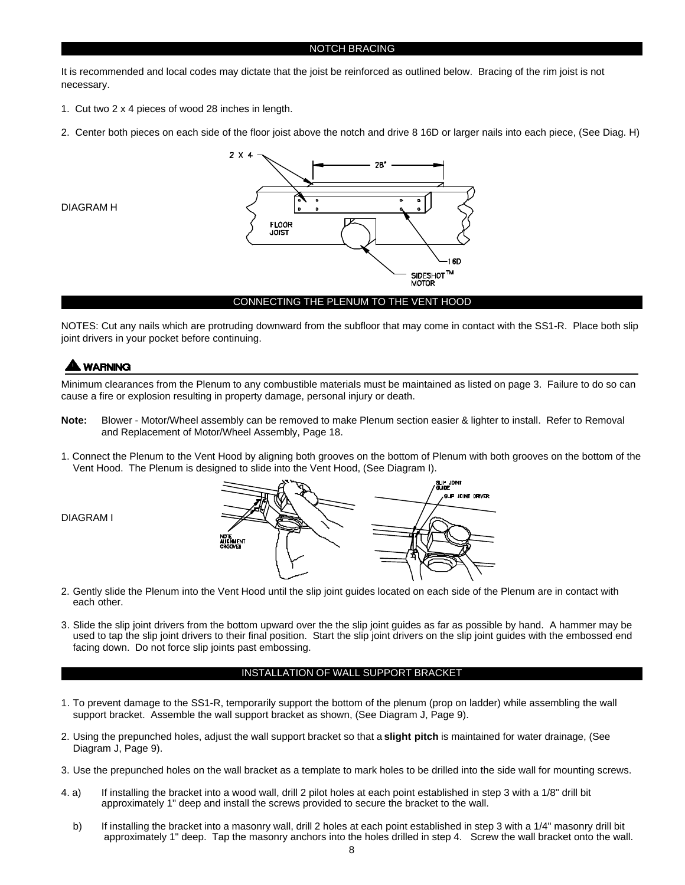It is recommended and local codes may dictate that the joist be reinforced as outlined below. Bracing of the rim joist is not necessary.

- 1. Cut two 2 x 4 pieces of wood 28 inches in length.
- 2. Center both pieces on each side of the floor joist above the notch and drive 8 16D or larger nails into each piece, (See Diag. H)



NOTES: Cut any nails which are protruding downward from the subfloor that may come in contact with the SS1-R. Place both slip joint drivers in your pocket before continuing.

#### **WARNING**

DIAGRAM H

Minimum clearances from the Plenum to any combustible materials must be maintained as listed on page 3. Failure to do so can cause a fire or explosion resulting in property damage, personal injury or death.

- **Note:** Blower Motor/Wheel assembly can be removed to make Plenum section easier & lighter to install. Refer to Removal and Replacement of Motor/Wheel Assembly, Page 18.
- 1. Connect the Plenum to the Vent Hood by aligning both grooves on the bottom of Plenum with both grooves on the bottom of the Vent Hood. The Plenum is designed to slide into the Vent Hood, (See Diagram I).



- 2. Gently slide the Plenum into the Vent Hood until the slip joint guides located on each side of the Plenum are in contact with each other.
- 3. Slide the slip joint drivers from the bottom upward over the the slip joint guides as far as possible by hand. A hammer may be used to tap the slip joint drivers to their final position. Start the slip joint drivers on the slip joint guides with the embossed end facing down. Do not force slip joints past embossing.

#### INSTALLATION OF WALL SUPPORT BRACKET

- 1. To prevent damage to the SS1-R, temporarily support the bottom of the plenum (prop on ladder) while assembling the wall support bracket. Assemble the wall support bracket as shown, (See Diagram J, Page 9).
- 2. Using the prepunched holes, adjust the wall support bracket so that a **slight pitch** is maintained for water drainage, (See Diagram J, Page 9).
- 3. Use the prepunched holes on the wall bracket as a template to mark holes to be drilled into the side wall for mounting screws.
- 4. a) If installing the bracket into a wood wall, drill 2 pilot holes at each point established in step 3 with a 1/8" drill bit approximately 1" deep and install the screws provided to secure the bracket to the wall.
	- b) If installing the bracket into a masonry wall, drill 2 holes at each point established in step 3 with a 1/4" masonry drill bit approximately 1" deep. Tap the masonry anchors into the holes drilled in step 4. Screw the wall bracket onto the wall.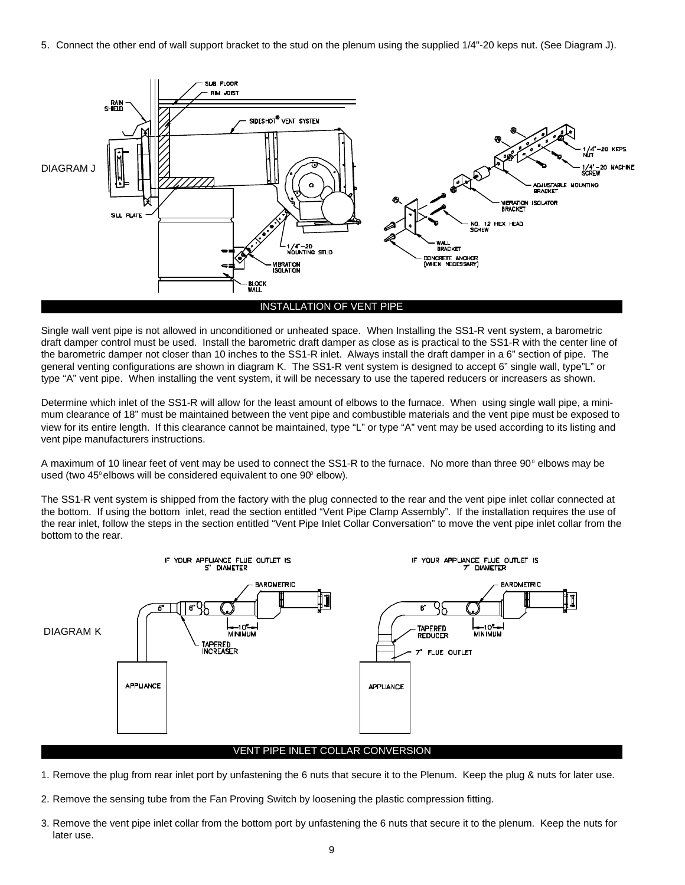5. Connect the other end of wall support bracket to the stud on the plenum using the supplied 1/4"-20 keps nut. (See Diagram J).



Single wall vent pipe is not allowed in unconditioned or unheated space. When Installing the SS1-R vent system, a barometric draft damper control must be used. Install the barometric draft damper as close as is practical to the SS1-R with the center line of the barometric damper not closer than 10 inches to the SS1-R inlet. Always install the draft damper in a 6" section of pipe. The general venting configurations are shown in diagram K. The SS1-R vent system is designed to accept 6" single wall, type"L" or type "A" vent pipe. When installing the vent system, it will be necessary to use the tapered reducers or increasers as shown.

Determine which inlet of the SS1-R will allow for the least amount of elbows to the furnace. When using single wall pipe, a minimum clearance of 18" must be maintained between the vent pipe and combustible materials and the vent pipe must be exposed to view for its entire length. If this clearance cannot be maintained, type "L" or type "A" vent may be used according to its listing and vent pipe manufacturers instructions.

A maximum of 10 linear feet of vent may be used to connect the SS1-R to the furnace. No more than three  $90^\circ$  elbows may be used (two  $45^\circ$  elbows will be considered equivalent to one  $90^\circ$  elbow).

The SS1-R vent system is shipped from the factory with the plug connected to the rear and the vent pipe inlet collar connected at the bottom. If using the bottom inlet, read the section entitled "Vent Pipe Clamp Assembly". If the installation requires the use of the rear inlet, follow the steps in the section entitled "Vent Pipe Inlet Collar Conversation" to move the vent pipe inlet collar from the bottom to the rear.



1. Remove the plug from rear inlet port by unfastening the 6 nuts that secure it to the Plenum. Keep the plug & nuts for later use.

- 2. Remove the sensing tube from the Fan Proving Switch by loosening the plastic compression fitting.
- 3. Remove the vent pipe inlet collar from the bottom port by unfastening the 6 nuts that secure it to the plenum. Keep the nuts for later use.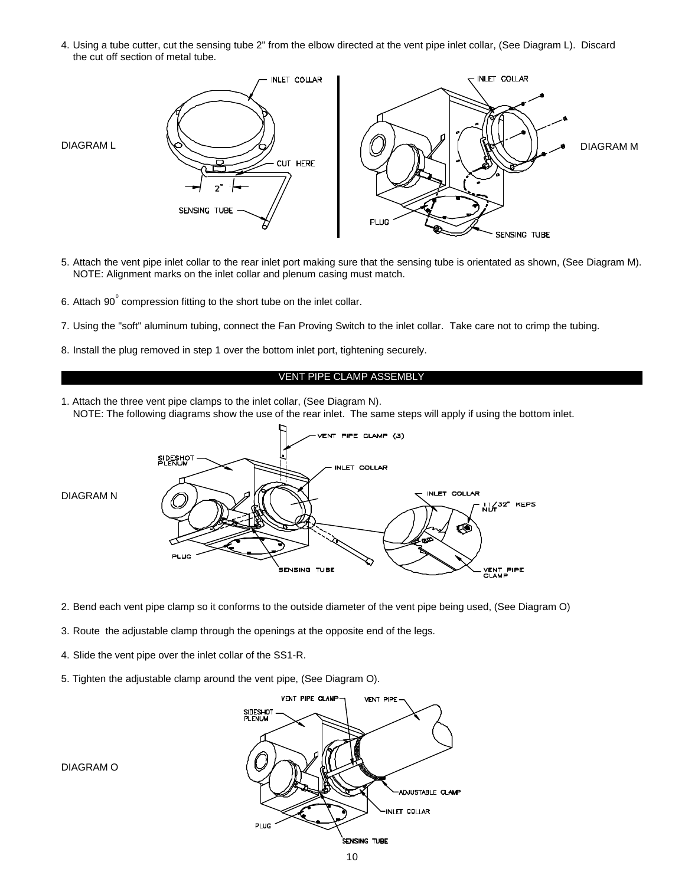4. Using a tube cutter, cut the sensing tube 2" from the elbow directed at the vent pipe inlet collar, (See Diagram L). Discard the cut off section of metal tube.



- 5. Attach the vent pipe inlet collar to the rear inlet port making sure that the sensing tube is orientated as shown, (See Diagram M). NOTE: Alignment marks on the inlet collar and plenum casing must match.
- 6. Attach 90 $^{\circ}$  compression fitting to the short tube on the inlet collar.
- 7. Using the "soft" aluminum tubing, connect the Fan Proving Switch to the inlet collar. Take care not to crimp the tubing.
- 8. Install the plug removed in step 1 over the bottom inlet port, tightening securely.

#### VENT PIPE CLAMP ASSEMBLY

1. Attach the three vent pipe clamps to the inlet collar, (See Diagram N). NOTE: The following diagrams show the use of the rear inlet. The same steps will apply if using the bottom inlet.



- 2. Bend each vent pipe clamp so it conforms to the outside diameter of the vent pipe being used, (See Diagram O)
- 3. Route the adjustable clamp through the openings at the opposite end of the legs.
- 4. Slide the vent pipe over the inlet collar of the SS1-R.
- 5. Tighten the adjustable clamp around the vent pipe, (See Diagram O).



DIAGRAM O

10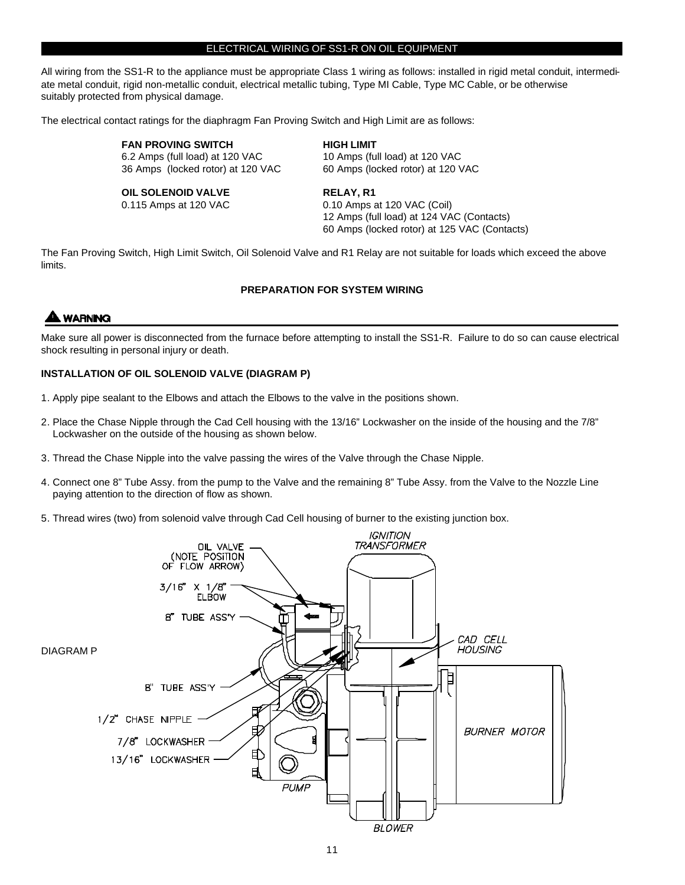#### ELECTRICAL WIRING OF SS1-R ON OIL EQUIPMENT

All wiring from the SS1-R to the appliance must be appropriate Class 1 wiring as follows: installed in rigid metal conduit, intermediate metal conduit, rigid non-metallic conduit, electrical metallic tubing, Type MI Cable, Type MC Cable, or be otherwise suitably protected from physical damage.

The electrical contact ratings for the diaphragm Fan Proving Switch and High Limit are as follows:

**FAN PROVING SWITCH FAN PROVING SWITCH EINER** 6.2 Amps (full load) at 120 VAC 10 Amps (full load) at 120 VAC 36 Amps (locked rotor) at 120 VAC 60 Amps (locked rotor) at 120 VAC

**OIL SOLENOID VALVE RELAY, R1**

0.115 Amps at 120 VAC 0.10 Amps at 120 VAC (Coil) 12 Amps (full load) at 124 VAC (Contacts)

60 Amps (locked rotor) at 125 VAC (Contacts)

The Fan Proving Switch, High Limit Switch, Oil Solenoid Valve and R1 Relay are not suitable for loads which exceed the above limits.

#### **PREPARATION FOR SYSTEM WIRING**

### **WARNING**

Make sure all power is disconnected from the furnace before attempting to install the SS1-R. Failure to do so can cause electrical shock resulting in personal injury or death.

#### **INSTALLATION OF OIL SOLENOID VALVE (DIAGRAM P)**

- 1. Apply pipe sealant to the Elbows and attach the Elbows to the valve in the positions shown.
- 2. Place the Chase Nipple through the Cad Cell housing with the 13/16" Lockwasher on the inside of the housing and the 7/8" Lockwasher on the outside of the housing as shown below.
- 3. Thread the Chase Nipple into the valve passing the wires of the Valve through the Chase Nipple.
- 4. Connect one 8" Tube Assy. from the pump to the Valve and the remaining 8" Tube Assy. from the Valve to the Nozzle Line paying attention to the direction of flow as shown.
- 5. Thread wires (two) from solenoid valve through Cad Cell housing of burner to the existing junction box.

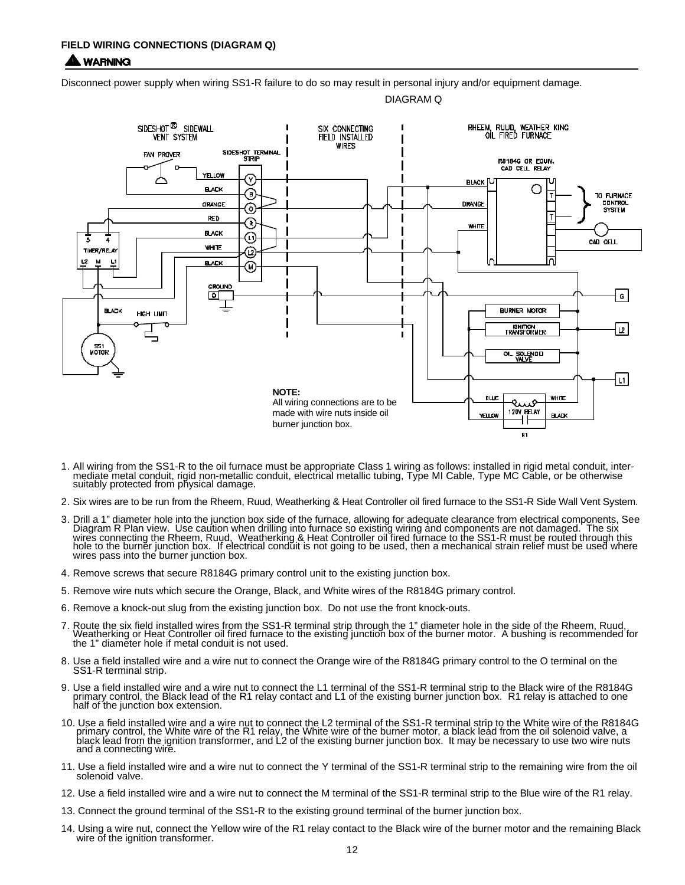#### **LWARNING**

Disconnect power supply when wiring SS1-R failure to do so may result in personal injury and/or equipment damage.





- 1. All wiring from the SS1-R to the oil furnace must be appropriate Class 1 wiring as follows: installed in rigid metal conduit, intermediate metal conduit, rigid non-metallic conduit, electrical metallic tubing, Type MI Cable, Type MC Cable, or be otherwise suitably protected from physical damage.
- 2. Six wires are to be run from the Rheem, Ruud, Weatherking & Heat Controller oil fired furnace to the SS1-R Side Wall Vent System.
- 3. Drill a 1" diameter hole into the junction box side of the furnace, allowing for adequate clearance from electrical components, See Diagram R Plan view. Use caution when drilling into furnace so existing wiring and components are not damaged. The six wires connecting the Rheem, Ruud, Weatherking & Heat Controller oil fired furnace to the SS1-R must be routed through this<br>hole to the burner junction box. If electrical conduit is not going to be used, then a mechanical s wires pass into the burner junction box.
- 4. Remove screws that secure R8184G primary control unit to the existing junction box.
- 5. Remove wire nuts which secure the Orange, Black, and White wires of the R8184G primary control.
- 6. Remove a knock-out slug from the existing junction box. Do not use the front knock-outs.
- 7. Route the six field installed wires from the SS1-R terminal strip through the 1" diameter hole in the side of the Rheem, Ruud,<br>Weatherking or Heat Controller oil fired furnace to the existing junction box of the burner the 1" diameter hole if metal conduit is not used.
- 8. Use a field installed wire and a wire nut to connect the Orange wire of the R8184G primary control to the O terminal on the SS1-R terminal strip.
- 9. Use a field installed wire and a wire nut to connect the L1 terminal of the SS1-R terminal strip to the Black wire of the R8184G<br>primary control, the Black lead of the R1 relay contact and L1 of the existing burner junc half of the junction box extension.
- 10. Use a field installed wire and a wire nut to connect the L2 terminal of the SS1-R terminal strip to the White wire of the R8184G<br>primary control, the White wire of the R1 relay, the White wire of the burner motor, a bl black lead from the ignition transformer, and L2 of the existing burner junction box. It may be necessary to use two wire nuts and a connecting wire.
- 11. Use a field installed wire and a wire nut to connect the Y terminal of the SS1-R terminal strip to the remaining wire from the oil solenoid valve.
- 12. Use a field installed wire and a wire nut to connect the M terminal of the SS1-R terminal strip to the Blue wire of the R1 relay.
- 13. Connect the ground terminal of the SS1-R to the existing ground terminal of the burner junction box.
- 14. Using a wire nut, connect the Yellow wire of the R1 relay contact to the Black wire of the burner motor and the remaining Black wire of the ignition transformer.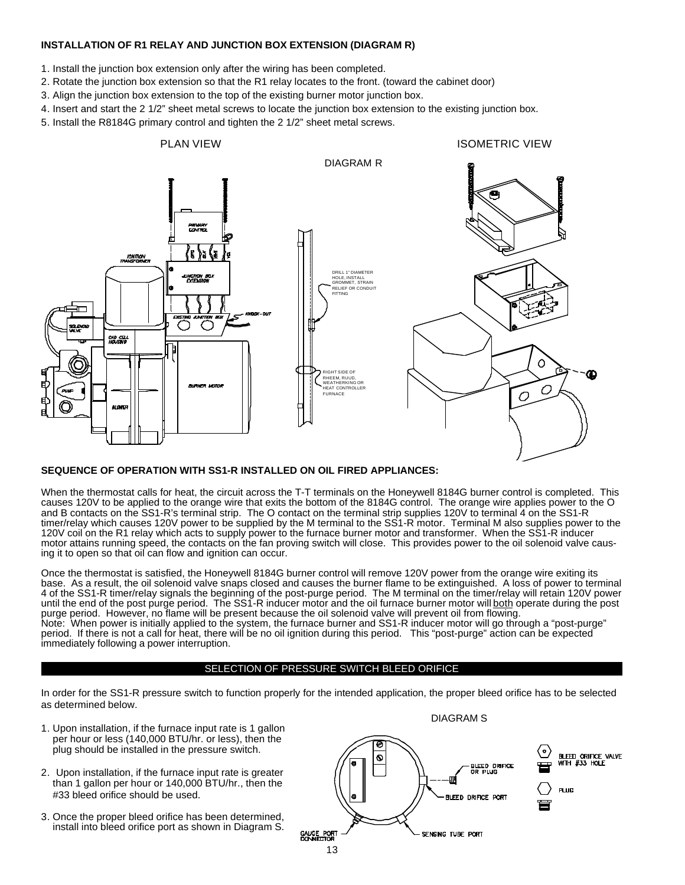#### **INSTALLATION OF R1 RELAY AND JUNCTION BOX EXTENSION (DIAGRAM R)**

- 1. Install the junction box extension only after the wiring has been completed.
- 2. Rotate the junction box extension so that the R1 relay locates to the front. (toward the cabinet door)
- 3. Align the junction box extension to the top of the existing burner motor junction box.
- 4. Insert and start the 2 1/2" sheet metal screws to locate the junction box extension to the existing junction box.
- 5. Install the R8184G primary control and tighten the 2 1/2" sheet metal screws.



#### **SEQUENCE OF OPERATION WITH SS1-R INSTALLED ON OIL FIRED APPLIANCES:**

When the thermostat calls for heat, the circuit across the T-T terminals on the Honeywell 8184G burner control is completed. This causes 120V to be applied to the orange wire that exits the bottom of the 8184G control. The orange wire applies power to the O and B contacts on the SS1-R's terminal strip. The O contact on the terminal strip supplies 120V to terminal 4 on the SS1-R timer/relay which causes 120V power to be supplied by the M terminal to the SS1-R motor. Terminal M also supplies power to the 120V coil on the R1 relay which acts to supply power to the furnace burner motor and transformer. When the SS1-R inducer motor attains running speed, the contacts on the fan proving switch will close. This provides power to the oil solenoid valve causing it to open so that oil can flow and ignition can occur.

Once the thermostat is satisfied, the Honeywell 8184G burner control will remove 120V power from the orange wire exiting its base. As a result, the oil solenoid valve snaps closed and causes the burner flame to be extinguished. A loss of power to terminal 4 of the SS1-R timer/relay signals the beginning of the post-purge period. The M terminal on the timer/relay will retain 120V power until the end of the post purge period. The SS1-R inducer motor and the oil furnace burner motor will both operate during the post purge period. However, no flame will be present because the oil solenoid valve will prevent oil from flowing. Note: When power is initially applied to the system, the furnace burner and SS1-R inducer motor will go through a "post-purge" period. If there is not a call for heat, there will be no oil ignition during this period. This "post-purge" action can be expected immediately following a power interruption.

#### SELECTION OF PRESSURE SWITCH BLEED ORIFICE

In order for the SS1-R pressure switch to function properly for the intended application, the proper bleed orifice has to be selected as determined below.

- 1. Upon installation, if the furnace input rate is 1 gallon per hour or less (140,000 BTU/hr. or less), then the plug should be installed in the pressure switch.
- 2. Upon installation, if the furnace input rate is greater than 1 gallon per hour or 140,000 BTU/hr., then the #33 bleed orifice should be used.
- 3. Once the proper bleed orifice has been determined, install into bleed orifice port as shown in Diagram S.

DIAGRAM S

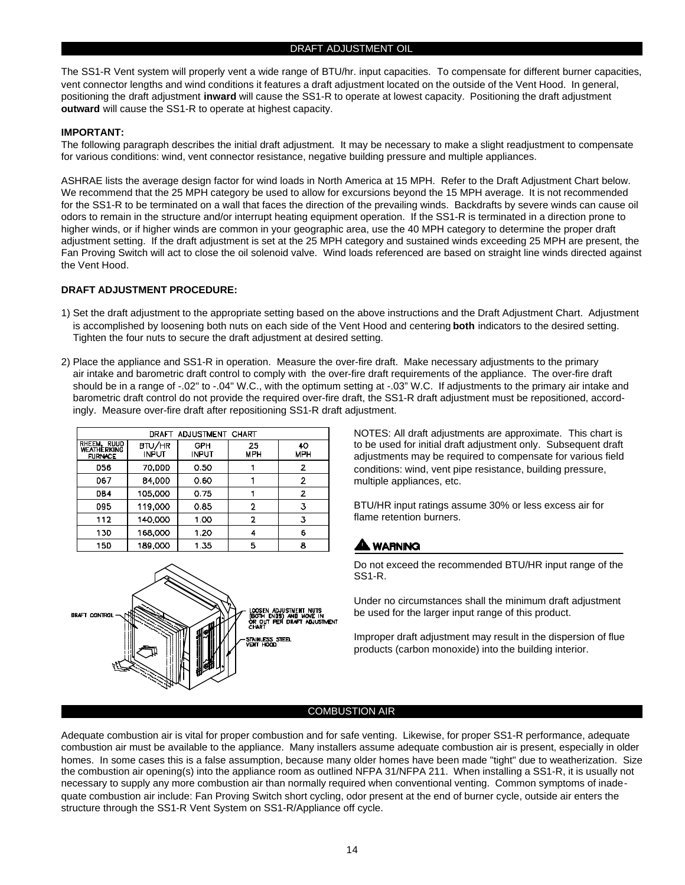The SS1-R Vent system will properly vent a wide range of BTU/hr. input capacities. To compensate for different burner capacities, vent connector lengths and wind conditions it features a draft adjustment located on the outside of the Vent Hood. In general, positioning the draft adjustment **inward** will cause the SS1-R to operate at lowest capacity. Positioning the draft adjustment **outward** will cause the SS1-R to operate at highest capacity.

#### **IMPORTANT:**

The following paragraph describes the initial draft adjustment. It may be necessary to make a slight readjustment to compensate for various conditions: wind, vent connector resistance, negative building pressure and multiple appliances.

ASHRAE lists the average design factor for wind loads in North America at 15 MPH. Refer to the Draft Adjustment Chart below. We recommend that the 25 MPH category be used to allow for excursions beyond the 15 MPH average. It is not recommended for the SS1-R to be terminated on a wall that faces the direction of the prevailing winds. Backdrafts by severe winds can cause oil odors to remain in the structure and/or interrupt heating equipment operation. If the SS1-R is terminated in a direction prone to higher winds, or if higher winds are common in your geographic area, use the 40 MPH category to determine the proper draft adjustment setting. If the draft adjustment is set at the 25 MPH category and sustained winds exceeding 25 MPH are present, the Fan Proving Switch will act to close the oil solenoid valve. Wind loads referenced are based on straight line winds directed against the Vent Hood.

#### **DRAFT ADJUSTMENT PROCEDURE:**

- 1) Set the draft adjustment to the appropriate setting based on the above instructions and the Draft Adjustment Chart. Adjustment is accomplished by loosening both nuts on each side of the Vent Hood and centering **both** indicators to the desired setting. Tighten the four nuts to secure the draft adjustment at desired setting.
- 2) Place the appliance and SS1-R in operation. Measure the over-fire draft. Make necessary adjustments to the primary air intake and barometric draft control to comply with the over-fire draft requirements of the appliance. The over-fire draft should be in a range of -.02" to -.04" W.C., with the optimum setting at -.03" W.C. If adjustments to the primary air intake and barometric draft control do not provide the required over-fire draft, the SS1-R draft adjustment must be repositioned, accordingly. Measure over-fire draft after repositioning SS1-R draft adjustment.

| DRAFT ADJUSTMENT CHART                       |                        |                     |                  |                  |
|----------------------------------------------|------------------------|---------------------|------------------|------------------|
| RHEEM, RUUD<br>WEATHERKING<br><b>FURNACE</b> | <b>BTU/HR</b><br>INPUT | GPH<br><b>INPUT</b> | 25<br><b>MPH</b> | 40<br><b>MPH</b> |
| <b>D56</b>                                   | <b>70.DDD</b>          | 0.50                |                  | 2                |
| 067                                          | 84.000                 | 060                 |                  | $\overline{2}$   |
| <b>DB4</b>                                   | 105.000                | 0.75                |                  | 2                |
| 095                                          | 119,000                | 0.85                | 2                | 3                |
| 112                                          | 140,000                | 1 <sup>0</sup>      | 2                | 3                |
| 130                                          | 168.000                | 1.20                | 4                | 6                |
| 15D                                          | 189.OOO                | 135                 | Б                | 8                |



NOTES: All draft adjustments are approximate. This chart is to be used for initial draft adjustment only. Subsequent draft adjustments may be required to compensate for various field conditions: wind, vent pipe resistance, building pressure, multiple appliances, etc.

BTU/HR input ratings assume 30% or less excess air for flame retention burners.

#### **AA** WARNING

Do not exceed the recommended BTU/HR input range of the SS1-R.

Under no circumstances shall the minimum draft adjustment be used for the larger input range of this product.

Improper draft adjustment may result in the dispersion of flue products (carbon monoxide) into the building interior.

#### COMBUSTION AIR

Adequate combustion air is vital for proper combustion and for safe venting. Likewise, for proper SS1-R performance, adequate combustion air must be available to the appliance. Many installers assume adequate combustion air is present, especially in older homes. In some cases this is a false assumption, because many older homes have been made "tight" due to weatherization. Size the combustion air opening(s) into the appliance room as outlined NFPA 31/NFPA 211. When installing a SS1-R, it is usually not necessary to supply any more combustion air than normally required when conventional venting. Common symptoms of inadequate combustion air include: Fan Proving Switch short cycling, odor present at the end of burner cycle, outside air enters the structure through the SS1-R Vent System on SS1-R/Appliance off cycle.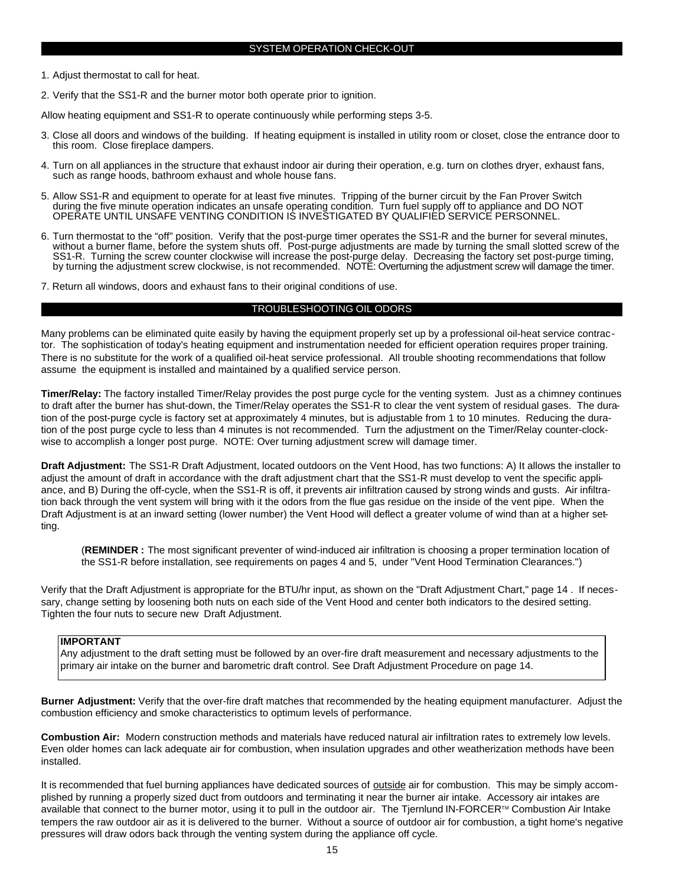1. Adjust thermostat to call for heat.

2. Verify that the SS1-R and the burner motor both operate prior to ignition.

Allow heating equipment and SS1-R to operate continuously while performing steps 3-5.

- 3. Close all doors and windows of the building. If heating equipment is installed in utility room or closet, close the entrance door to this room. Close fireplace dampers.
- 4. Turn on all appliances in the structure that exhaust indoor air during their operation, e.g. turn on clothes dryer, exhaust fans, such as range hoods, bathroom exhaust and whole house fans.
- 5. Allow SS1-R and equipment to operate for at least five minutes. Tripping of the burner circuit by the Fan Prover Switch during the five minute operation indicates an unsafe operating condition. Turn fuel supply off to appliance and DO NOT OPERATE UNTIL UNSAFE VENTING CONDITION IS INVESTIGATED BY QUALIFIED SERVICE PERSONNEL.
- 6. Turn thermostat to the "off" position. Verify that the post-purge timer operates the SS1-R and the burner for several minutes, without a burner flame, before the system shuts off. Post-purge adjustments are made by turning the small slotted screw of the SS1-R. Turning the screw counter clockwise will increase the post-purge delay. Decreasing the factory set post-purge timing, by turning the adjustment screw clockwise, is not recommended. NOTE: Overturning the adjustment screw will damage the timer.
- 7. Return all windows, doors and exhaust fans to their original conditions of use.

#### TROUBLESHOOTING OIL ODORS

Many problems can be eliminated quite easily by having the equipment properly set up by a professional oil-heat service contractor. The sophistication of today's heating equipment and instrumentation needed for efficient operation requires proper training. There is no substitute for the work of a qualified oil-heat service professional. All trouble shooting recommendations that follow assume the equipment is installed and maintained by a qualified service person.

**Timer/Relay:** The factory installed Timer/Relay provides the post purge cycle for the venting system. Just as a chimney continues to draft after the burner has shut-down, the Timer/Relay operates the SS1-R to clear the vent system of residual gases. The duration of the post-purge cycle is factory set at approximately 4 minutes, but is adjustable from 1 to 10 minutes. Reducing the duration of the post purge cycle to less than 4 minutes is not recommended. Turn the adjustment on the Timer/Relay counter-clockwise to accomplish a longer post purge. NOTE: Over turning adjustment screw will damage timer.

**Draft Adjustment:** The SS1-R Draft Adjustment, located outdoors on the Vent Hood, has two functions: A) It allows the installer to adjust the amount of draft in accordance with the draft adjustment chart that the SS1-R must develop to vent the specific appliance, and B) During the off-cycle, when the SS1-R is off, it prevents air infiltration caused by strong winds and gusts. Air infiltration back through the vent system will bring with it the odors from the flue gas residue on the inside of the vent pipe. When the Draft Adjustment is at an inward setting (lower number) the Vent Hood will deflect a greater volume of wind than at a higher setting.

(**REMINDER :** The most significant preventer of wind-induced air infiltration is choosing a proper termination location of the SS1-R before installation, see requirements on pages 4 and 5, under "Vent Hood Termination Clearances.")

Verify that the Draft Adjustment is appropriate for the BTU/hr input, as shown on the "Draft Adjustment Chart," page 14 . If necessary, change setting by loosening both nuts on each side of the Vent Hood and center both indicators to the desired setting. Tighten the four nuts to secure new Draft Adjustment.

#### **IMPORTANT**

Any adjustment to the draft setting must be followed by an over-fire draft measurement and necessary adjustments to the primary air intake on the burner and barometric draft control. See Draft Adjustment Procedure on page 14.

**Burner Adjustment:** Verify that the over-fire draft matches that recommended by the heating equipment manufacturer. Adjust the combustion efficiency and smoke characteristics to optimum levels of performance.

**Combustion Air:** Modern construction methods and materials have reduced natural air infiltration rates to extremely low levels. Even older homes can lack adequate air for combustion, when insulation upgrades and other weatherization methods have been installed.

It is recommended that fuel burning appliances have dedicated sources of outside air for combustion. This may be simply accomplished by running a properly sized duct from outdoors and terminating it near the burner air intake. Accessory air intakes are available that connect to the burner motor, using it to pull in the outdoor air. The Tjernlund IN-FORCER™ Combustion Air Intake tempers the raw outdoor air as it is delivered to the burner. Without a source of outdoor air for combustion, a tight home's negative pressures will draw odors back through the venting system during the appliance off cycle.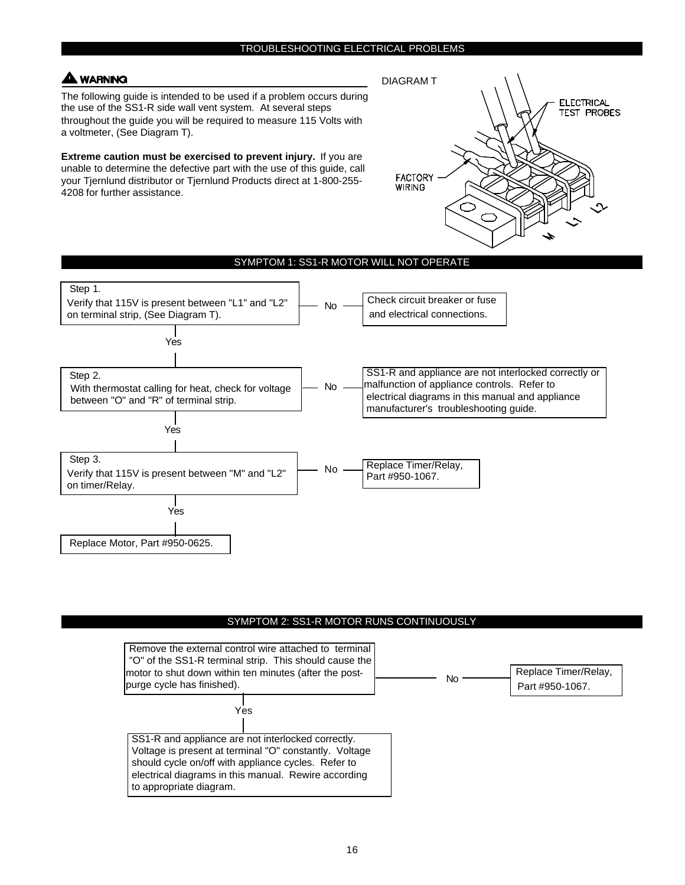#### **WARNING**

The following guide is intended to be used if a problem occurs during the use of the SS1-R side wall vent system. At several steps throughout the guide you will be required to measure 115 Volts with a voltmeter, (See Diagram T).

**Extreme caution must be exercised to prevent injury.** If you are unable to determine the defective part with the use of this guide, call your Tjernlund distributor or Tjernlund Products direct at 1-800-255- 4208 for further assistance.



#### Step 1. Verify that 115V is present between "L1" and "L2" on terminal strip, (See Diagram T). Check circuit breaker or fuse and electrical connections. SS1-R and appliance are not interlocked correctly or malfunction of appliance controls. Refer to electrical diagrams in this manual and appliance manufacturer's troubleshooting guide. Replace Timer/Relay, Part #950-1067. Replace Motor, Part #950-0625. No No No Yes Yes Yes SYMPTOM 1: SS1-R MOTOR WILL NOT OPERATE Step 2. With thermostat calling for heat, check for voltage between "O" and "R" of terminal strip. Step 3. Verify that 115V is present between "M" and "L2" on timer/Relay.

#### SYMPTOM 2: SS1-R MOTOR RUNS CONTINUOUSLY

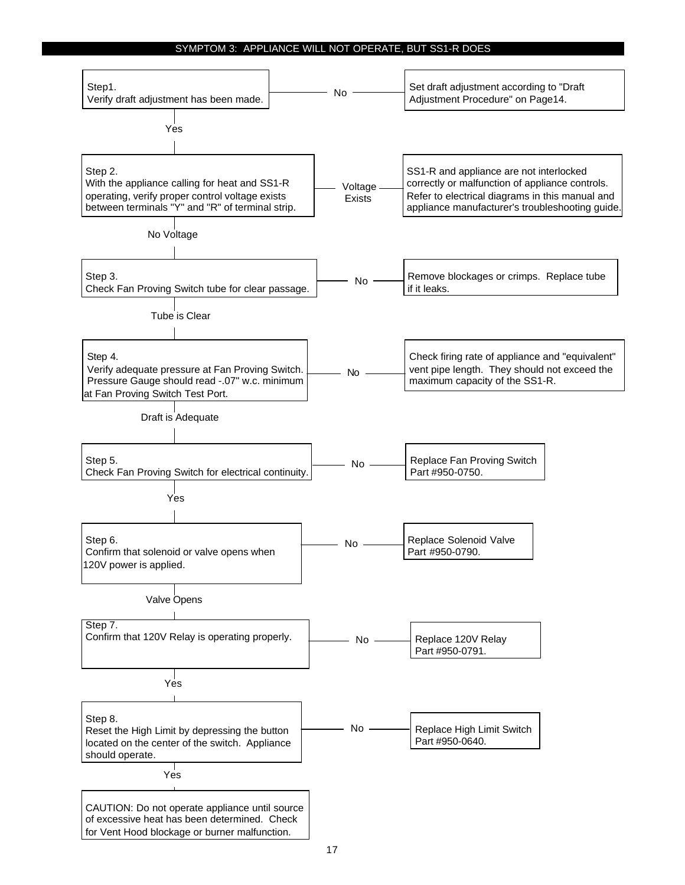#### SYMPTOM 3: APPLIANCE WILL NOT OPERATE, BUT SS1-R DOES

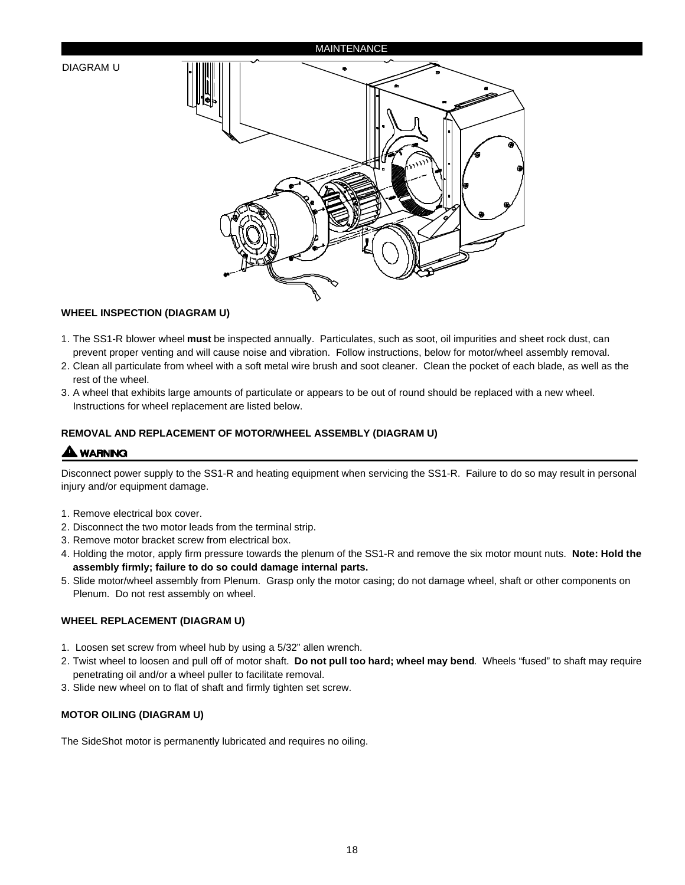#### **MAINTENANCE**

#### DIAGRAM U



#### **WHEEL INSPECTION (DIAGRAM U)**

- 1. The SS1-R blower wheel **must** be inspected annually. Particulates, such as soot, oil impurities and sheet rock dust, can prevent proper venting and will cause noise and vibration. Follow instructions, below for motor/wheel assembly removal.
- 2. Clean all particulate from wheel with a soft metal wire brush and soot cleaner. Clean the pocket of each blade, as well as the rest of the wheel.
- 3. A wheel that exhibits large amounts of particulate or appears to be out of round should be replaced with a new wheel. Instructions for wheel replacement are listed below.

#### **REMOVAL AND REPLACEMENT OF MOTOR/WHEEL ASSEMBLY (DIAGRAM U)**

#### **A WARNING**

Disconnect power supply to the SS1-R and heating equipment when servicing the SS1-R. Failure to do so may result in personal injury and/or equipment damage.

- 1. Remove electrical box cover.
- 2. Disconnect the two motor leads from the terminal strip.
- 3. Remove motor bracket screw from electrical box.
- 4. Holding the motor, apply firm pressure towards the plenum of the SS1-R and remove the six motor mount nuts. **Note: Hold the assembly firmly; failure to do so could damage internal parts.**
- 5. Slide motor/wheel assembly from Plenum. Grasp only the motor casing; do not damage wheel, shaft or other components on Plenum. Do not rest assembly on wheel.

#### **WHEEL REPLACEMENT (DIAGRAM U)**

- 1. Loosen set screw from wheel hub by using a 5/32" allen wrench.
- 2. Twist wheel to loosen and pull off of motor shaft. **Do not pull too hard; wheel may bend**. Wheels "fused" to shaft may require penetrating oil and/or a wheel puller to facilitate removal.
- 3. Slide new wheel on to flat of shaft and firmly tighten set screw.

#### **MOTOR OILING (DIAGRAM U)**

The SideShot motor is permanently lubricated and requires no oiling.